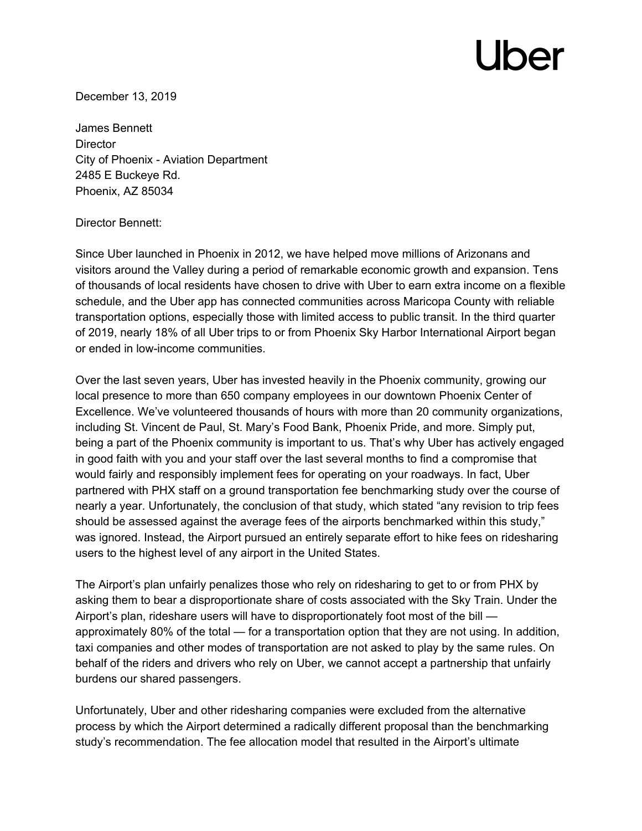## Jber

December 13, 2019

James Bennett **Director** City of Phoenix - Aviation Department 2485 E Buckeye Rd. Phoenix, AZ 85034

## Director Bennett:

Since Uber launched in Phoenix in 2012, we have helped move millions of Arizonans and visitors around the Valley during a period of remarkable economic growth and expansion. Tens of thousands of local residents have chosen to drive with Uber to earn extra income on a flexible schedule, and the Uber app has connected communities across Maricopa County with reliable transportation options, especially those with limited access to public transit. In the third quarter of 2019, nearly 18% of all Uber trips to or from Phoenix Sky Harbor International Airport began or ended in low-income communities.

Over the last seven years, Uber has invested heavily in the Phoenix community, growing our local presence to more than 650 company employees in our downtown Phoenix Center of Excellence. We've volunteered thousands of hours with more than 20 community organizations, including St. Vincent de Paul, St. Mary's Food Bank, Phoenix Pride, and more. Simply put, being a part of the Phoenix community is important to us. That's why Uber has actively engaged in good faith with you and your staff over the last several months to find a compromise that would fairly and responsibly implement fees for operating on your roadways. In fact, Uber partnered with PHX staff on a ground transportation fee benchmarking study over the course of nearly a year. Unfortunately, the conclusion of that study, which stated "any revision to trip fees should be assessed against the average fees of the airports benchmarked within this study," was ignored. Instead, the Airport pursued an entirely separate effort to hike fees on ridesharing users to the highest level of any airport in the United States.

The Airport's plan unfairly penalizes those who rely on ridesharing to get to or from PHX by asking them to bear a disproportionate share of costs associated with the Sky Train. Under the Airport's plan, rideshare users will have to disproportionately foot most of the bill approximately 80% of the total — for a transportation option that they are not using. In addition, taxi companies and other modes of transportation are not asked to play by the same rules. On behalf of the riders and drivers who rely on Uber, we cannot accept a partnership that unfairly burdens our shared passengers.

Unfortunately, Uber and other ridesharing companies were excluded from the alternative process by which the Airport determined a radically different proposal than the benchmarking study's recommendation. The fee allocation model that resulted in the Airport's ultimate